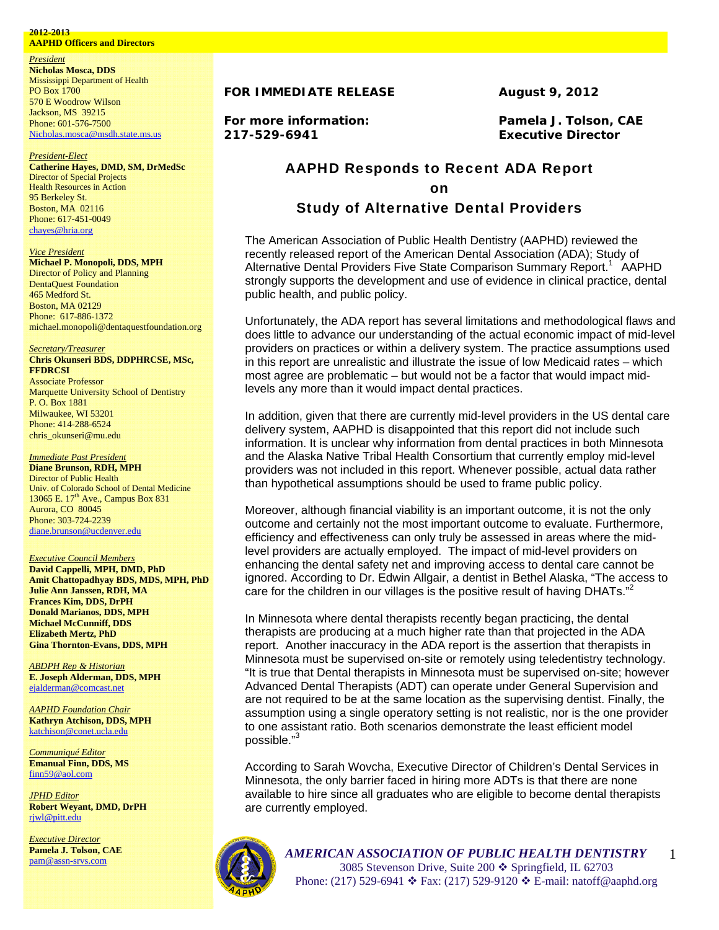## **2012-2013**

**AAPHD Officers and Directors** 

*President*  **Nicholas Mosca, DDS**  Mississippi Department of Health PO Box 1700 570 E Woodrow Wilson Jackson, MS 39215 Phone: 601-576-7500 Nicholas.mosca@msdh.state.ms.us

### *President-Elect*

**Catherine Hayes, DMD, SM, DrMedSc**  Director of Special Projects Health Resources in Action 95 Berkeley St. Boston, MA 02116 Phone: 617-451-0049 chayes@hria.org

## *Vice President*

**Michael P. Monopoli, DDS, MPH**  Director of Policy and Planning DentaQuest Foundation 465 Medford St. Boston, MA 02129 Phone: 617-886-1372 michael.monopoli@dentaquestfoundation.org

#### *Secretary/Treasurer* **Chris Okunseri BDS, DDPHRCSE, MSc, FFDRCSI**

Associate Professor Marquette University School of Dentistry P. O. Box 1881 Milwaukee, WI 53201 Phone: 414-288-6524 chris\_okunseri@mu.edu

## *Immediate Past President*

**Diane Brunson, RDH, MPH** Director of Public Health Univ. of Colorado School of Dental Medicine 13065 E. 17<sup>th</sup> Ave., Campus Box 831 Aurora, CO 80045 Phone: 303-724-2239 diane.brunson@ucdenver.edu

## *Executive Council Members*

**David Cappelli, MPH, DMD, PhD Amit Chattopadhyay BDS, MDS, MPH, PhD Julie Ann Janssen, RDH, MA Frances Kim, DDS, DrPH Donald Marianos, DDS, MPH Michael McCunniff, DDS Elizabeth Mertz, PhD Gina Thornton-Evans, DDS, MPH**

*ABDPH Rep & Historian* **E. Joseph Alderman, DDS, MPH**  ejalderman@comcast.net

*AAPHD Foundation Chair* **Kathryn Atchison, DDS, MPH**  katchison@conet.ucla.edu

*Communiqué Editor* **Emanual Finn, DDS, MS**  finn59@aol.com

*JPHD Editor* **Robert Weyant, DMD, DrPH**  rjwl@pitt.edu

*Executive Director* **Pamela J. Tolson, CAE**  pam@assn-srvs.com

## **FOR IMMEDIATE RELEASE 4.4 August 9, 2012**

**217-529-6941 Executive Director** 

**For more information: Pamela J. Tolson, CAE** 

# AAPHD Responds to Recent ADA Report on

## Study of Alternative Dental Providers

The American Association of Public Health Dentistry (AAPHD) reviewed the recently released report of the American Dental Association (ADA); Study of Alternative Dental Providers Five State Comparison Summary Report.<sup>1</sup> AAPHD strongly supports the development and use of evidence in clinical practice, dental public health, and public policy.

Unfortunately, the ADA report has several limitations and methodological flaws and does little to advance our understanding of the actual economic impact of mid-level providers on practices or within a delivery system. The practice assumptions used in this report are unrealistic and illustrate the issue of low Medicaid rates – which most agree are problematic – but would not be a factor that would impact midlevels any more than it would impact dental practices.

In addition, given that there are currently mid-level providers in the US dental care delivery system, AAPHD is disappointed that this report did not include such information. It is unclear why information from dental practices in both Minnesota and the Alaska Native Tribal Health Consortium that currently employ mid-level providers was not included in this report. Whenever possible, actual data rather than hypothetical assumptions should be used to frame public policy.

Moreover, although financial viability is an important outcome, it is not the only outcome and certainly not the most important outcome to evaluate. Furthermore, efficiency and effectiveness can only truly be assessed in areas where the midlevel providers are actually employed. The impact of mid-level providers on enhancing the dental safety net and improving access to dental care cannot be ignored. According to Dr. Edwin Allgair, a dentist in Bethel Alaska, "The access to care for the children in our villages is the positive result of having DHATs."

In Minnesota where dental therapists recently began practicing, the dental therapists are producing at a much higher rate than that projected in the ADA report. Another inaccuracy in the ADA report is the assertion that therapists in Minnesota must be supervised on-site or remotely using teledentistry technology. "It is true that Dental therapists in Minnesota must be supervised on-site; however Advanced Dental Therapists (ADT) can operate under General Supervision and are not required to be at the same location as the supervising dentist. Finally, the assumption using a single operatory setting is not realistic, nor is the one provider to one assistant ratio. Both scenarios demonstrate the least efficient model possible."3

According to Sarah Wovcha, Executive Director of Children's Dental Services in Minnesota, the only barrier faced in hiring more ADTs is that there are none available to hire since all graduates who are eligible to become dental therapists are currently employed.



*AMERICAN ASSOCIATION OF PUBLIC HEALTH DENTISTRY* 3085 Stevenson Drive, Suite 200  $\div$  Springfield, IL 62703

1

Phone: (217) 529-6941 Fax: (217) 529-9120 E-mail: natoff@aaphd.org